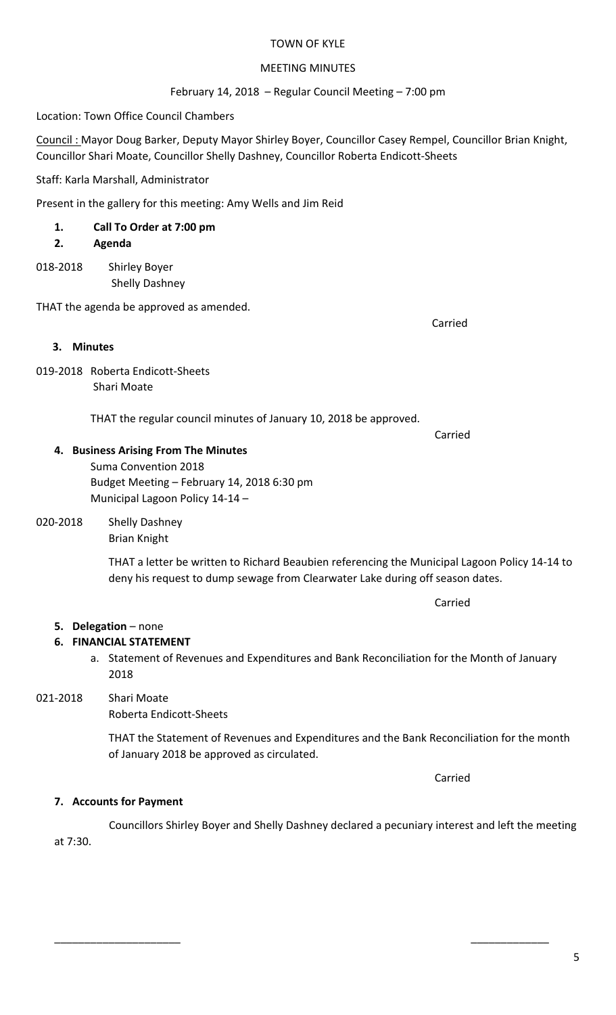#### TOWN OF KYLE

#### **MEETING MINUTES**

February 14, 2018 – Regular Council Meeting – 7:00 pm

Location: Town Office Council Chambers

Council : Mayor Doug Barker, Deputy Mayor Shirley Boyer, Councillor Casey Rempel, Councillor Brian Knight, Councillor Shari Moate, Councillor Shelly Dashney, Councillor Roberta Endicott-Sheets

Staff: Karla Marshall, Administrator

Present in the gallery for this meeting: Amy Wells and Jim Reid

# **1. Call To Order at 7:00 pm**

- **2. Agenda**
- 018-2018 Shirley Boyer Shelly Dashney

THAT the agenda be approved as amended.

#### **3.** Minutes

019-2018 Roberta Endicott-Sheets Shari Moate

THAT the regular council minutes of January 10, 2018 be approved.

**Carried Carried Carried Carried Carried Carried Carried Carried Carried Carried Carried Carried Carried Carried Carried Carried Carried Carried Carried Carried Carried Carried Carried Carried Carried Carried Carried Carri** 

Carried

#### **4. Business Arising From The Minutes**

Suma Convention 2018 Budget Meeting - February 14, 2018 6:30 pm Municipal Lagoon Policy 14-14 -

#### 020-2018 Shelly Dashney Brian Knight

THAT a letter be written to Richard Beaubien referencing the Municipal Lagoon Policy 14-14 to deny his request to dump sewage from Clearwater Lake during off season dates.

# **5. Delegation** – none

# **6. FINANCIAL STATEMENT**

a. Statement of Revenues and Expenditures and Bank Reconciliation for the Month of January 2018

# 021-2018 Shari Moate

Roberta Endicott-Sheets

THAT the Statement of Revenues and Expenditures and the Bank Reconciliation for the month of January 2018 be approved as circulated.

Carried

## **7.** Accounts for Payment

Councillors Shirley Boyer and Shelly Dashney declared a pecuniary interest and left the meeting at 7:30.

\_\_\_\_\_\_\_\_\_\_\_\_\_\_\_\_\_\_\_\_\_ \_\_\_\_\_\_\_\_\_\_\_\_\_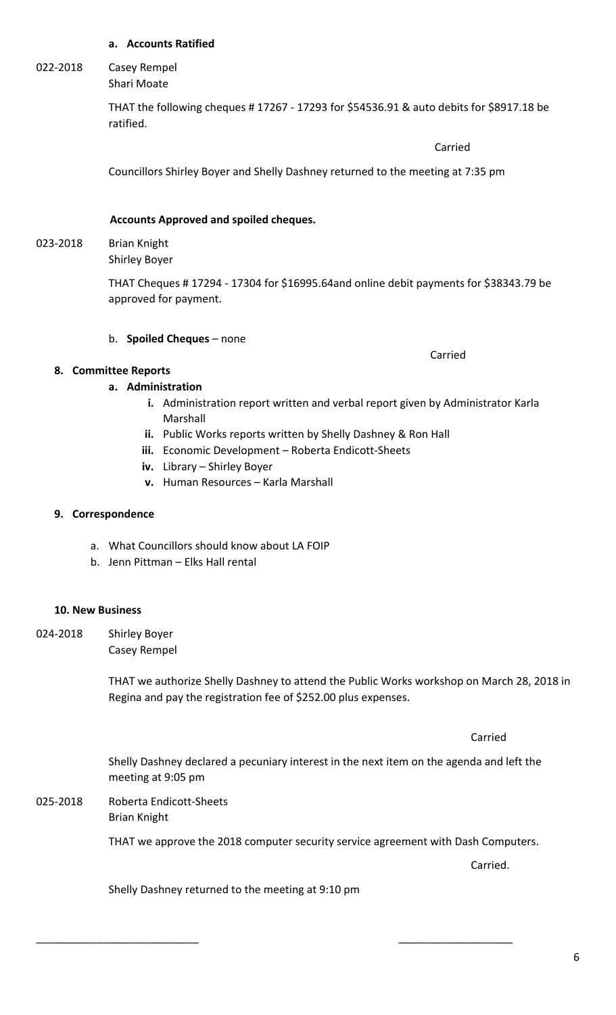#### **a. Accounts Ratified**

#### 022-2018 Casey Rempel Shari Moate

THAT the following cheques # 17267 - 17293 for \$54536.91 & auto debits for \$8917.18 be ratified.

**Carried** Carried Communication of the Carried Carried Carried Carried Carried Carried Carried Carried Carried Carried Carried Carried Carried Carried Carried Carried Carried Carried Carried Carried Carried Carried Carried

 Carried

Councillors Shirley Boyer and Shelly Dashney returned to the meeting at 7:35 pm

#### **Accounts Approved and spoiled cheques.**

#### 023-2018 Brian Knight Shirley Boyer

THAT Cheques # 17294 - 17304 for \$16995.64and online debit payments for \$38343.79 be approved for payment.

#### b. **Spoiled Cheques** – none

#### **8. Committee Reports**

#### **a. Administration**

- **i.** Administration report written and verbal report given by Administrator Karla Marshall
- **ii.** Public Works reports written by Shelly Dashney & Ron Hall
- **iii.** Economic Development Roberta Endicott-Sheets
- **iv.** Library Shirley Boyer
- **v.** Human Resources Karla Marshall

#### **9. Correspondence**

- a. What Councillors should know about LA FOIP
- b. Jenn Pittman Elks Hall rental

#### **10. New Business**

024-2018 Shirley Boyer Casey Rempel

> THAT we authorize Shelly Dashney to attend the Public Works workshop on March 28, 2018 in Regina and pay the registration fee of \$252.00 plus expenses.

Shelly Dashney declared a pecuniary interest in the next item on the agenda and left the meeting at 9:05 pm

025-2018 Roberta Endicott-Sheets Brian Knight

THAT we approve the 2018 computer security service agreement with Dash Computers.

Carried.

Carried

Shelly Dashney returned to the meeting at 9:10 pm

\_\_\_\_\_\_\_\_\_\_\_\_\_\_\_\_\_\_\_\_\_\_\_\_\_\_\_ \_\_\_\_\_\_\_\_\_\_\_\_\_\_\_\_\_\_\_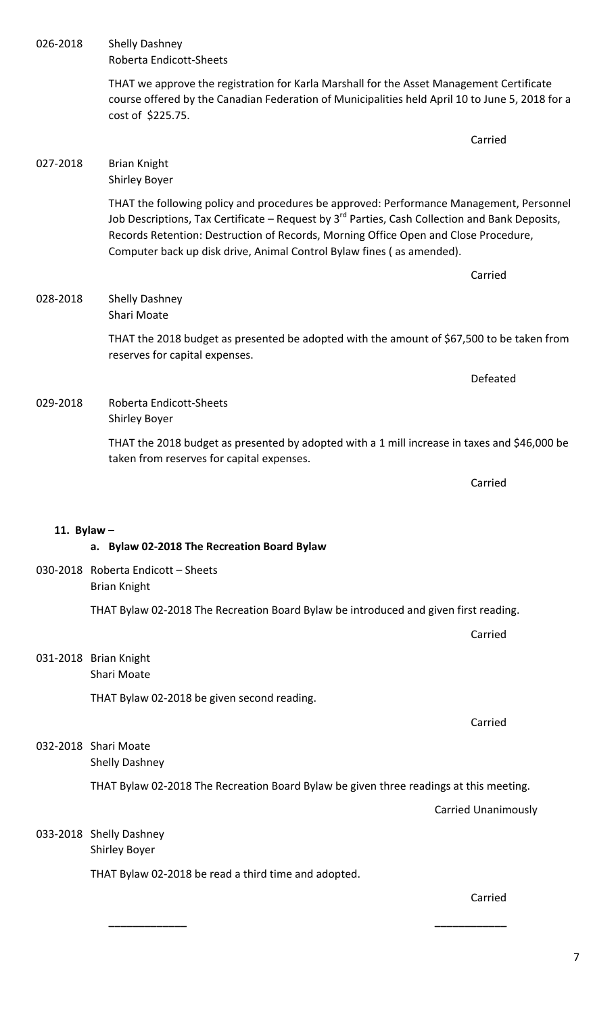|               | THAT we approve the registration for Karla Marshall for the Asset Management Certificate<br>course offered by the Canadian Federation of Municipalities held April 10 to June 5, 2018 for a<br>cost of \$225.75.                                                                                                                                                      |  |
|---------------|-----------------------------------------------------------------------------------------------------------------------------------------------------------------------------------------------------------------------------------------------------------------------------------------------------------------------------------------------------------------------|--|
|               | Carried                                                                                                                                                                                                                                                                                                                                                               |  |
| 027-2018      | <b>Brian Knight</b><br><b>Shirley Boyer</b>                                                                                                                                                                                                                                                                                                                           |  |
|               | THAT the following policy and procedures be approved: Performance Management, Personnel<br>Job Descriptions, Tax Certificate – Request by 3 <sup>rd</sup> Parties, Cash Collection and Bank Deposits,<br>Records Retention: Destruction of Records, Morning Office Open and Close Procedure,<br>Computer back up disk drive, Animal Control Bylaw fines (as amended). |  |
|               | Carried                                                                                                                                                                                                                                                                                                                                                               |  |
| 028-2018      | <b>Shelly Dashney</b><br>Shari Moate                                                                                                                                                                                                                                                                                                                                  |  |
|               | THAT the 2018 budget as presented be adopted with the amount of \$67,500 to be taken from<br>reserves for capital expenses.                                                                                                                                                                                                                                           |  |
|               | Defeated                                                                                                                                                                                                                                                                                                                                                              |  |
| 029-2018      | Roberta Endicott-Sheets<br><b>Shirley Boyer</b>                                                                                                                                                                                                                                                                                                                       |  |
|               | THAT the 2018 budget as presented by adopted with a 1 mill increase in taxes and \$46,000 be<br>taken from reserves for capital expenses.                                                                                                                                                                                                                             |  |
|               | Carried                                                                                                                                                                                                                                                                                                                                                               |  |
| 11. Bylaw $-$ |                                                                                                                                                                                                                                                                                                                                                                       |  |
|               | a. Bylaw 02-2018 The Recreation Board Bylaw                                                                                                                                                                                                                                                                                                                           |  |
|               | 030-2018 Roberta Endicott - Sheets<br><b>Brian Knight</b>                                                                                                                                                                                                                                                                                                             |  |
|               | THAT Bylaw 02-2018 The Recreation Board Bylaw be introduced and given first reading.                                                                                                                                                                                                                                                                                  |  |
|               | Carried                                                                                                                                                                                                                                                                                                                                                               |  |
|               | 031-2018 Brian Knight<br>Shari Moate                                                                                                                                                                                                                                                                                                                                  |  |
|               | THAT Bylaw 02-2018 be given second reading.                                                                                                                                                                                                                                                                                                                           |  |
|               | Carried                                                                                                                                                                                                                                                                                                                                                               |  |
|               | 032-2018 Shari Moate<br><b>Shelly Dashney</b>                                                                                                                                                                                                                                                                                                                         |  |
|               | THAT Bylaw 02-2018 The Recreation Board Bylaw be given three readings at this meeting.                                                                                                                                                                                                                                                                                |  |
|               | <b>Carried Unanimously</b>                                                                                                                                                                                                                                                                                                                                            |  |
|               | 033-2018 Shelly Dashney<br><b>Shirley Boyer</b>                                                                                                                                                                                                                                                                                                                       |  |
|               | THAT Bylaw 02-2018 be read a third time and adopted.                                                                                                                                                                                                                                                                                                                  |  |
|               | Carried                                                                                                                                                                                                                                                                                                                                                               |  |
|               |                                                                                                                                                                                                                                                                                                                                                                       |  |

026-2018 Shelly Dashney

Roberta Endicott-Sheets